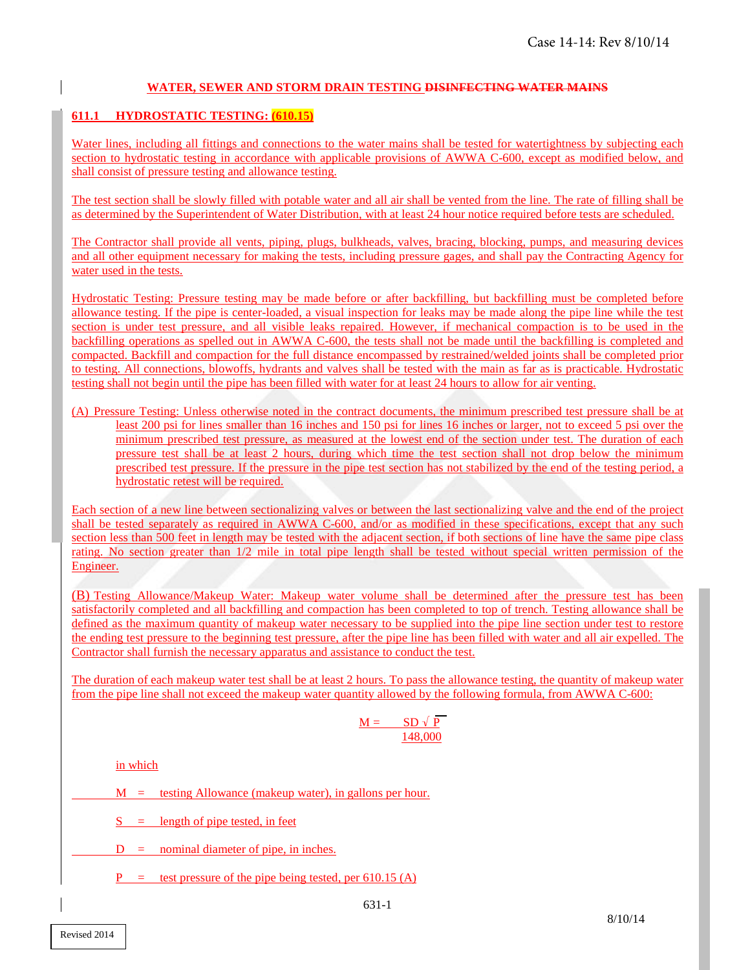# **WATER, SEWER AND STORM DRAIN TESTING DISINFECTING WATER MAINS**

# **611.1 HYDROSTATIC TESTING: (610.15)**

Water lines, including all fittings and connections to the water mains shall be tested for watertightness by subjecting each section to hydrostatic testing in accordance with applicable provisions of AWWA C-600, except as modified below, and shall consist of pressure testing and allowance testing.

The test section shall be slowly filled with potable water and all air shall be vented from the line. The rate of filling shall be as determined by the Superintendent of Water Distribution, with at least 24 hour notice required before tests are scheduled.

The Contractor shall provide all vents, piping, plugs, bulkheads, valves, bracing, blocking, pumps, and measuring devices and all other equipment necessary for making the tests, including pressure gages, and shall pay the Contracting Agency for water used in the tests.

Hydrostatic Testing: Pressure testing may be made before or after backfilling, but backfilling must be completed before allowance testing. If the pipe is center-loaded, a visual inspection for leaks may be made along the pipe line while the test section is under test pressure, and all visible leaks repaired. However, if mechanical compaction is to be used in the backfilling operations as spelled out in AWWA C-600, the tests shall not be made until the backfilling is completed and compacted. Backfill and compaction for the full distance encompassed by restrained/welded joints shall be completed prior to testing. All connections, blowoffs, hydrants and valves shall be tested with the main as far as is practicable. Hydrostatic testing shall not begin until the pipe has been filled with water for at least 24 hours to allow for air venting.

(A) Pressure Testing: Unless otherwise noted in the contract documents, the minimum prescribed test pressure shall be at least 200 psi for lines smaller than 16 inches and 150 psi for lines 16 inches or larger, not to exceed 5 psi over the minimum prescribed test pressure, as measured at the lowest end of the section under test. The duration of each pressure test shall be at least 2 hours, during which time the test section shall not drop below the minimum prescribed test pressure. If the pressure in the pipe test section has not stabilized by the end of the testing period, a hydrostatic retest will be required.

Each section of a new line between sectionalizing valves or between the last sectionalizing valve and the end of the project shall be tested separately as required in AWWA C-600, and/or as modified in these specifications, except that any such section less than 500 feet in length may be tested with the adjacent section, if both sections of line have the same pipe class rating. No section greater than 1/2 mile in total pipe length shall be tested without special written permission of the Engineer.

(B) Testing Allowance/Makeup Water: Makeup water volume shall be determined after the pressure test has been satisfactorily completed and all backfilling and compaction has been completed to top of trench. Testing allowance shall be defined as the maximum quantity of makeup water necessary to be supplied into the pipe line section under test to restore the ending test pressure to the beginning test pressure, after the pipe line has been filled with water and all air expelled. The Contractor shall furnish the necessary apparatus and assistance to conduct the test.

The duration of each makeup water test shall be at least 2 hours. To pass the allowance testing, the quantity of makeup water from the pipe line shall not exceed the makeup water quantity allowed by the following formula, from AWWA C-600:

$$
M = SD \sqrt{P}
$$
  

$$
\underline{148,000}
$$

in which

 $M =$  testing Allowance (makeup water), in gallons per hour.

 $S =$  length of pipe tested, in feet

 $D =$  nominal diameter of pipe, in inches.

 $P =$  test pressure of the pipe being tested, per 610.15 (A)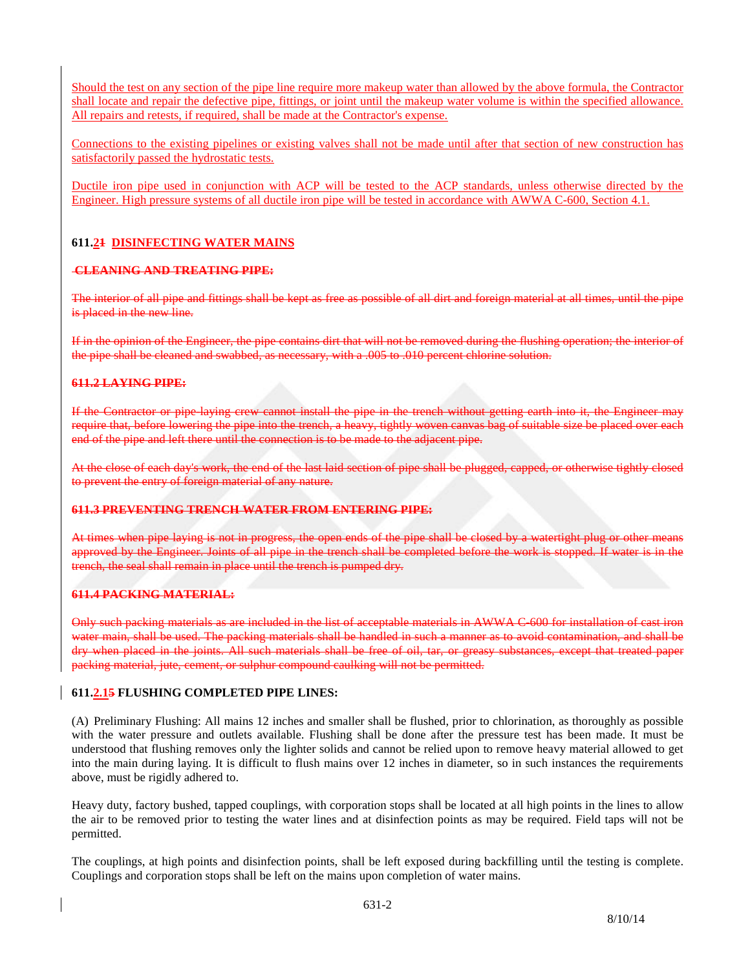Should the test on any section of the pipe line require more makeup water than allowed by the above formula, the Contractor shall locate and repair the defective pipe, fittings, or joint until the makeup water volume is within the specified allowance. All repairs and retests, if required, shall be made at the Contractor's expense.

Connections to the existing pipelines or existing valves shall not be made until after that section of new construction has satisfactorily passed the hydrostatic tests.

Ductile iron pipe used in conjunction with ACP will be tested to the ACP standards, unless otherwise directed by the Engineer. High pressure systems of all ductile iron pipe will be tested in accordance with AWWA C-600, Section 4.1.

## **611.21 DISINFECTING WATER MAINS**

# **CLEANING AND TREATING PIPE:**

The interior of all pipe and fittings shall be kept as free as possible of all dirt and foreign material at all times, until the pir is placed in the new line.

If in the opinion of the Engineer, the pipe contains dirt that will not be removed during the flushing operation; the interior of the pipe shall be cleaned and swabbed, as necessary, with a .005 to .010 percent chlorine solution.

### **611.2 LAYING PIPE:**

If the Contractor or pipe-laying crew cannot install the pipe in the trench without getting earth into it, require that, before lowering the pipe into the trench, a heavy, tightly woven canvas bag of suitable size be placed over end of the pipe and left there until the connection is to be made to the adjacent pipe.

At the close of each day's work, the end of the last laid section of pipe shall be plugged, capped, to prevent the entry of foreign material of any nature.

#### **611.3 PREVENTING TRENCH WATER FROM ENTERING PIPE:**

At times when pipe laying is not in progress, the open ends of the pipe shall be closed by a watertight plug or other approved by the Engineer. Joints of all pipe in the trench shall be completed before the work is stopped. If water is trench, the seal shall remain in place until the trench is pumped dry.

## **611.4 PACKING MATERIAL:**

Only such packing materials as are included in the list of acceptable materials in AWWA C-600 for installation of cast water main, shall be used. The packing materials shall be handled in such a manner as to avoid contamination, and shall be dry when placed in the joints. All such materials shall be free of oil, tar, or greasy substances, except that treated paper packing material, jute, cement, or sulphur compound caulking will not be permitted.

#### **611.2.15 FLUSHING COMPLETED PIPE LINES:**

(A) Preliminary Flushing: All mains 12 inches and smaller shall be flushed, prior to chlorination, as thoroughly as possible with the water pressure and outlets available. Flushing shall be done after the pressure test has been made. It must be understood that flushing removes only the lighter solids and cannot be relied upon to remove heavy material allowed to get into the main during laying. It is difficult to flush mains over 12 inches in diameter, so in such instances the requirements above, must be rigidly adhered to.

Heavy duty, factory bushed, tapped couplings, with corporation stops shall be located at all high points in the lines to allow the air to be removed prior to testing the water lines and at disinfection points as may be required. Field taps will not be permitted.

The couplings, at high points and disinfection points, shall be left exposed during backfilling until the testing is complete. Couplings and corporation stops shall be left on the mains upon completion of water mains.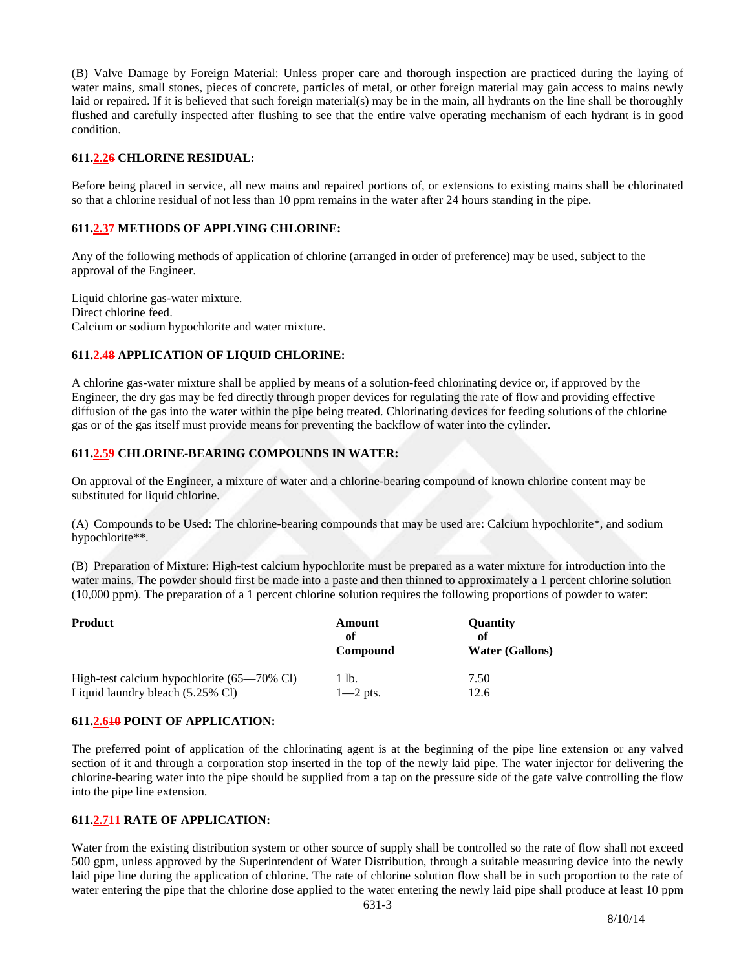(B) Valve Damage by Foreign Material: Unless proper care and thorough inspection are practiced during the laying of water mains, small stones, pieces of concrete, particles of metal, or other foreign material may gain access to mains newly laid or repaired. If it is believed that such foreign material(s) may be in the main, all hydrants on the line shall be thoroughly flushed and carefully inspected after flushing to see that the entire valve operating mechanism of each hydrant is in good condition.

### **611.2.26 CHLORINE RESIDUAL:**

Before being placed in service, all new mains and repaired portions of, or extensions to existing mains shall be chlorinated so that a chlorine residual of not less than 10 ppm remains in the water after 24 hours standing in the pipe.

### **611.2.37 METHODS OF APPLYING CHLORINE:**

Any of the following methods of application of chlorine (arranged in order of preference) may be used, subject to the approval of the Engineer.

Liquid chlorine gas-water mixture. Direct chlorine feed. Calcium or sodium hypochlorite and water mixture.

#### **611.2.48 APPLICATION OF LIQUID CHLORINE:**

A chlorine gas-water mixture shall be applied by means of a solution-feed chlorinating device or, if approved by the Engineer, the dry gas may be fed directly through proper devices for regulating the rate of flow and providing effective diffusion of the gas into the water within the pipe being treated. Chlorinating devices for feeding solutions of the chlorine gas or of the gas itself must provide means for preventing the backflow of water into the cylinder.

### **611.2.59 CHLORINE-BEARING COMPOUNDS IN WATER:**

On approval of the Engineer, a mixture of water and a chlorine-bearing compound of known chlorine content may be substituted for liquid chlorine.

(A) Compounds to be Used: The chlorine-bearing compounds that may be used are: Calcium hypochlorite\*, and sodium hypochlorite\*\*.

(B) Preparation of Mixture: High-test calcium hypochlorite must be prepared as a water mixture for introduction into the water mains. The powder should first be made into a paste and then thinned to approximately a 1 percent chlorine solution (10,000 ppm). The preparation of a 1 percent chlorine solution requires the following proportions of powder to water:

| <b>Product</b>                                        | Amount<br>оf<br>Compound | <b>Ouantity</b><br>of<br><b>Water (Gallons)</b> |
|-------------------------------------------------------|--------------------------|-------------------------------------------------|
| High-test calcium hypochlorite $(65-70\% \text{ Cl})$ | $1$ lb.                  | 7.50                                            |
| Liquid laundry bleach (5.25% Cl)                      | $1-2$ pts.               | 12.6                                            |

#### **611.2.610 POINT OF APPLICATION:**

The preferred point of application of the chlorinating agent is at the beginning of the pipe line extension or any valved section of it and through a corporation stop inserted in the top of the newly laid pipe. The water injector for delivering the chlorine-bearing water into the pipe should be supplied from a tap on the pressure side of the gate valve controlling the flow into the pipe line extension.

#### **611.2.711 RATE OF APPLICATION:**

Water from the existing distribution system or other source of supply shall be controlled so the rate of flow shall not exceed 500 gpm, unless approved by the Superintendent of Water Distribution, through a suitable measuring device into the newly laid pipe line during the application of chlorine. The rate of chlorine solution flow shall be in such proportion to the rate of water entering the pipe that the chlorine dose applied to the water entering the newly laid pipe shall produce at least 10 ppm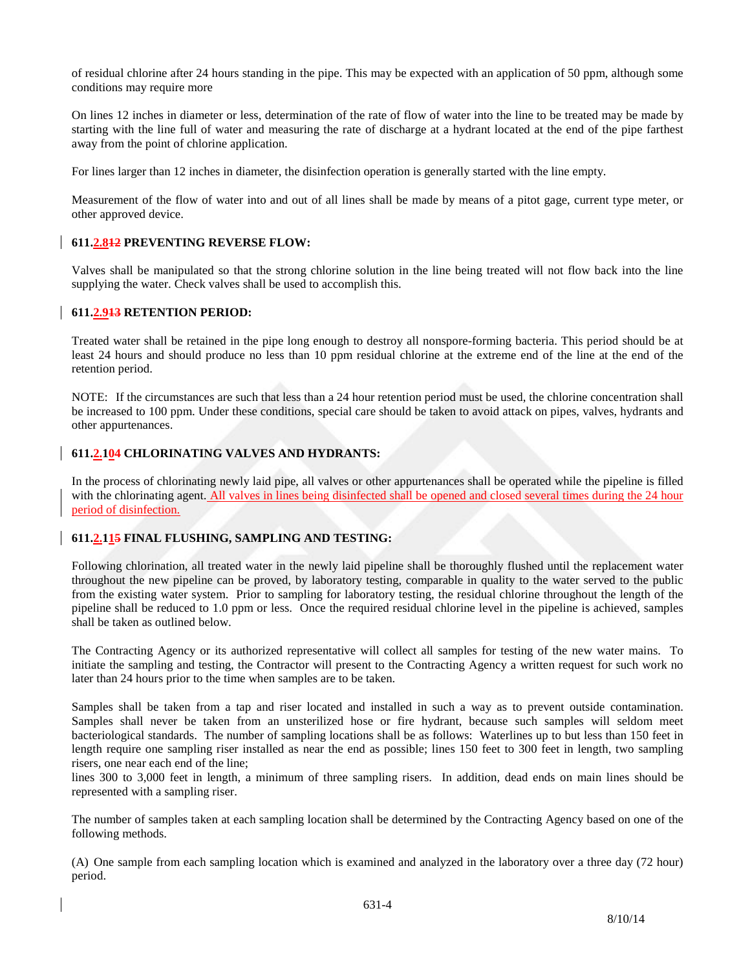of residual chlorine after 24 hours standing in the pipe. This may be expected with an application of 50 ppm, although some conditions may require more

On lines 12 inches in diameter or less, determination of the rate of flow of water into the line to be treated may be made by starting with the line full of water and measuring the rate of discharge at a hydrant located at the end of the pipe farthest away from the point of chlorine application.

For lines larger than 12 inches in diameter, the disinfection operation is generally started with the line empty.

Measurement of the flow of water into and out of all lines shall be made by means of a pitot gage, current type meter, or other approved device.

## **611.2.812 PREVENTING REVERSE FLOW:**

Valves shall be manipulated so that the strong chlorine solution in the line being treated will not flow back into the line supplying the water. Check valves shall be used to accomplish this.

## **611.2.913 RETENTION PERIOD:**

Treated water shall be retained in the pipe long enough to destroy all nonspore-forming bacteria. This period should be at least 24 hours and should produce no less than 10 ppm residual chlorine at the extreme end of the line at the end of the retention period.

NOTE: If the circumstances are such that less than a 24 hour retention period must be used, the chlorine concentration shall be increased to 100 ppm. Under these conditions, special care should be taken to avoid attack on pipes, valves, hydrants and other appurtenances.

## **611.2.104 CHLORINATING VALVES AND HYDRANTS:**

In the process of chlorinating newly laid pipe, all valves or other appurtenances shall be operated while the pipeline is filled with the chlorinating agent. All valves in lines being disinfected shall be opened and closed several times during the 24 hour period of disinfection.

## **611.2.115 FINAL FLUSHING, SAMPLING AND TESTING:**

Following chlorination, all treated water in the newly laid pipeline shall be thoroughly flushed until the replacement water throughout the new pipeline can be proved, by laboratory testing, comparable in quality to the water served to the public from the existing water system. Prior to sampling for laboratory testing, the residual chlorine throughout the length of the pipeline shall be reduced to 1.0 ppm or less. Once the required residual chlorine level in the pipeline is achieved, samples shall be taken as outlined below.

The Contracting Agency or its authorized representative will collect all samples for testing of the new water mains. To initiate the sampling and testing, the Contractor will present to the Contracting Agency a written request for such work no later than 24 hours prior to the time when samples are to be taken.

Samples shall be taken from a tap and riser located and installed in such a way as to prevent outside contamination. Samples shall never be taken from an unsterilized hose or fire hydrant, because such samples will seldom meet bacteriological standards. The number of sampling locations shall be as follows: Waterlines up to but less than 150 feet in length require one sampling riser installed as near the end as possible; lines 150 feet to 300 feet in length, two sampling risers, one near each end of the line;

lines 300 to 3,000 feet in length, a minimum of three sampling risers. In addition, dead ends on main lines should be represented with a sampling riser.

The number of samples taken at each sampling location shall be determined by the Contracting Agency based on one of the following methods.

(A) One sample from each sampling location which is examined and analyzed in the laboratory over a three day (72 hour) period.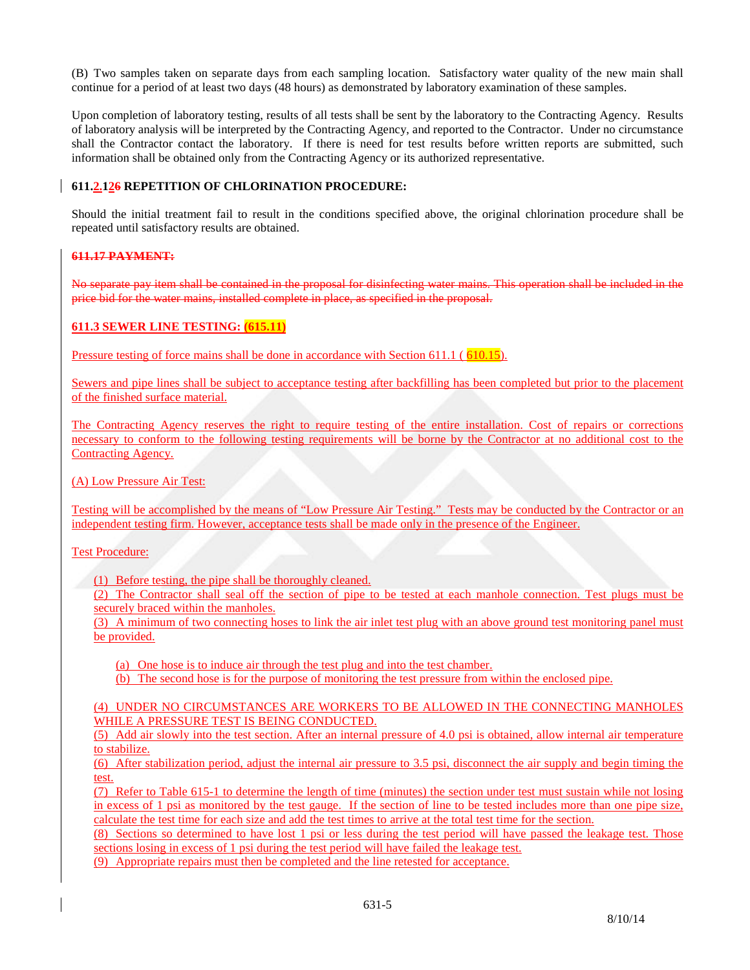(B) Two samples taken on separate days from each sampling location. Satisfactory water quality of the new main shall continue for a period of at least two days (48 hours) as demonstrated by laboratory examination of these samples.

Upon completion of laboratory testing, results of all tests shall be sent by the laboratory to the Contracting Agency. Results of laboratory analysis will be interpreted by the Contracting Agency, and reported to the Contractor. Under no circumstance shall the Contractor contact the laboratory. If there is need for test results before written reports are submitted, such information shall be obtained only from the Contracting Agency or its authorized representative.

## **611.2.126 REPETITION OF CHLORINATION PROCEDURE:**

Should the initial treatment fail to result in the conditions specified above, the original chlorination procedure shall be repeated until satisfactory results are obtained.

### **611.17 PAYMENT:**

No separate pay item shall be contained in the proposal for disinfecting water mains. This operation shall be included in the price bid for the water mains, installed complete in place, as specified in the proposal.

### **611.3 SEWER LINE TESTING: (615.11)**

Pressure testing of force mains shall be done in accordance with Section 611.1 (610.15).

Sewers and pipe lines shall be subject to acceptance testing after backfilling has been completed but prior to the placement of the finished surface material.

The Contracting Agency reserves the right to require testing of the entire installation. Cost of repairs or corrections necessary to conform to the following testing requirements will be borne by the Contractor at no additional cost to the Contracting Agency.

(A) Low Pressure Air Test:

Testing will be accomplished by the means of "Low Pressure Air Testing." Tests may be conducted by the Contractor or an independent testing firm. However, acceptance tests shall be made only in the presence of the Engineer.

Test Procedure:

(1) Before testing, the pipe shall be thoroughly cleaned.

(2) The Contractor shall seal off the section of pipe to be tested at each manhole connection. Test plugs must be securely braced within the manholes.

(3) A minimum of two connecting hoses to link the air inlet test plug with an above ground test monitoring panel must be provided.

(a) One hose is to induce air through the test plug and into the test chamber.

(b) The second hose is for the purpose of monitoring the test pressure from within the enclosed pipe.

## (4) UNDER NO CIRCUMSTANCES ARE WORKERS TO BE ALLOWED IN THE CONNECTING MANHOLES WHILE A PRESSURE TEST IS BEING CONDUCTED.

(5) Add air slowly into the test section. After an internal pressure of 4.0 psi is obtained, allow internal air temperature to stabilize.

(6) After stabilization period, adjust the internal air pressure to 3.5 psi, disconnect the air supply and begin timing the test.

(7) Refer to Table 615-1 to determine the length of time (minutes) the section under test must sustain while not losing in excess of 1 psi as monitored by the test gauge. If the section of line to be tested includes more than one pipe size, calculate the test time for each size and add the test times to arrive at the total test time for the section.

(8) Sections so determined to have lost 1 psi or less during the test period will have passed the leakage test. Those sections losing in excess of 1 psi during the test period will have failed the leakage test.

(9) Appropriate repairs must then be completed and the line retested for acceptance.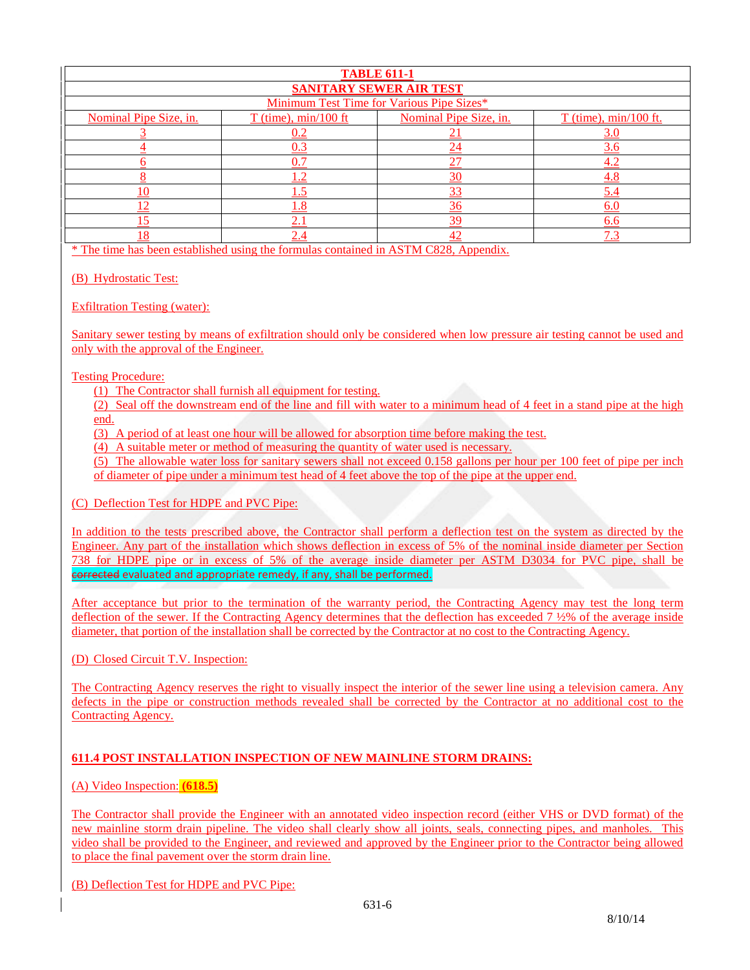| <b>TABLE 611-1</b>                               |                        |                        |                         |  |  |
|--------------------------------------------------|------------------------|------------------------|-------------------------|--|--|
| <b>SANITARY SEWER AIR TEST</b>                   |                        |                        |                         |  |  |
| <b>Minimum Test Time for Various Pipe Sizes*</b> |                        |                        |                         |  |  |
| Nominal Pipe Size, in.                           | $T$ (time), min/100 ft | Nominal Pipe Size, in. | $T$ (time), min/100 ft. |  |  |
|                                                  |                        |                        |                         |  |  |
|                                                  | 0.3                    | $\mathcal{D}_{\ell}$   |                         |  |  |
|                                                  | 0.7                    | 27                     |                         |  |  |
|                                                  |                        | 3 <sup>c</sup>         |                         |  |  |
|                                                  |                        | 3 <sup>2</sup>         |                         |  |  |
|                                                  | 8                      | 36                     |                         |  |  |
|                                                  |                        | 39                     | 6.6                     |  |  |
|                                                  |                        | $\Lambda$              |                         |  |  |

\* The time has been established using the formulas contained in ASTM C828, Appendix.

# (B) Hydrostatic Test:

## Exfiltration Testing (water):

Sanitary sewer testing by means of exfiltration should only be considered when low pressure air testing cannot be used and only with the approval of the Engineer.

## Testing Procedure:

(1) The Contractor shall furnish all equipment for testing.

(2) Seal off the downstream end of the line and fill with water to a minimum head of 4 feet in a stand pipe at the high end.

(3) A period of at least one hour will be allowed for absorption time before making the test.

(4) A suitable meter or method of measuring the quantity of water used is necessary.

(5) The allowable water loss for sanitary sewers shall not exceed 0.158 gallons per hour per 100 feet of pipe per inch of diameter of pipe under a minimum test head of 4 feet above the top of the pipe at the upper end.

# (C) Deflection Test for HDPE and PVC Pipe:

In addition to the tests prescribed above, the Contractor shall perform a deflection test on the system as directed by the Engineer. Any part of the installation which shows deflection in excess of 5% of the nominal inside diameter per Section 738 for HDPE pipe or in excess of 5% of the average inside diameter per ASTM D3034 for PVC pipe, shall be corrected evaluated and appropriate remedy, if any, shall be performed.

After acceptance but prior to the termination of the warranty period, the Contracting Agency may test the long term deflection of the sewer. If the Contracting Agency determines that the deflection has exceeded 7 ½% of the average inside diameter, that portion of the installation shall be corrected by the Contractor at no cost to the Contracting Agency.

# (D) Closed Circuit T.V. Inspection:

The Contracting Agency reserves the right to visually inspect the interior of the sewer line using a television camera. Any defects in the pipe or construction methods revealed shall be corrected by the Contractor at no additional cost to the Contracting Agency.

# **611.4 POST INSTALLATION INSPECTION OF NEW MAINLINE STORM DRAINS:**

# (A) Video Inspection: **(618.5)**

The Contractor shall provide the Engineer with an annotated video inspection record (either VHS or DVD format) of the new mainline storm drain pipeline. The video shall clearly show all joints, seals, connecting pipes, and manholes. This video shall be provided to the Engineer, and reviewed and approved by the Engineer prior to the Contractor being allowed to place the final pavement over the storm drain line.

(B) Deflection Test for HDPE and PVC Pipe: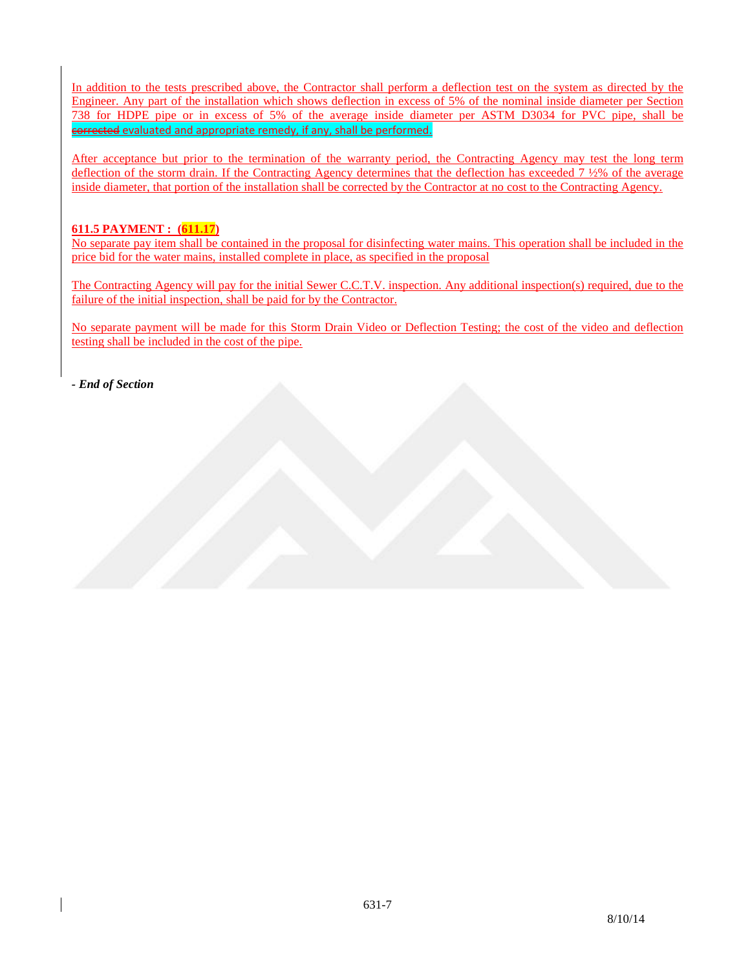In addition to the tests prescribed above, the Contractor shall perform a deflection test on the system as directed by the Engineer. Any part of the installation which shows deflection in excess of 5% of the nominal inside diameter per Section 738 for HDPE pipe or in excess of 5% of the average inside diameter per ASTM D3034 for PVC pipe, shall be corrected evaluated and appropriate remedy, if any, shall be performed.

After acceptance but prior to the termination of the warranty period, the Contracting Agency may test the long term deflection of the storm drain. If the Contracting Agency determines that the deflection has exceeded 7  $\frac{1}{2}\%$  of the average inside diameter, that portion of the installation shall be corrected by the Contractor at no cost to the Contracting Agency.

# **611.5 PAYMENT : (611.17)**

No separate pay item shall be contained in the proposal for disinfecting water mains. This operation shall be included in the price bid for the water mains, installed complete in place, as specified in the proposal

The Contracting Agency will pay for the initial Sewer C.C.T.V. inspection. Any additional inspection(s) required, due to the failure of the initial inspection, shall be paid for by the Contractor.

No separate payment will be made for this Storm Drain Video or Deflection Testing; the cost of the video and deflection testing shall be included in the cost of the pipe.

*- End of Section*

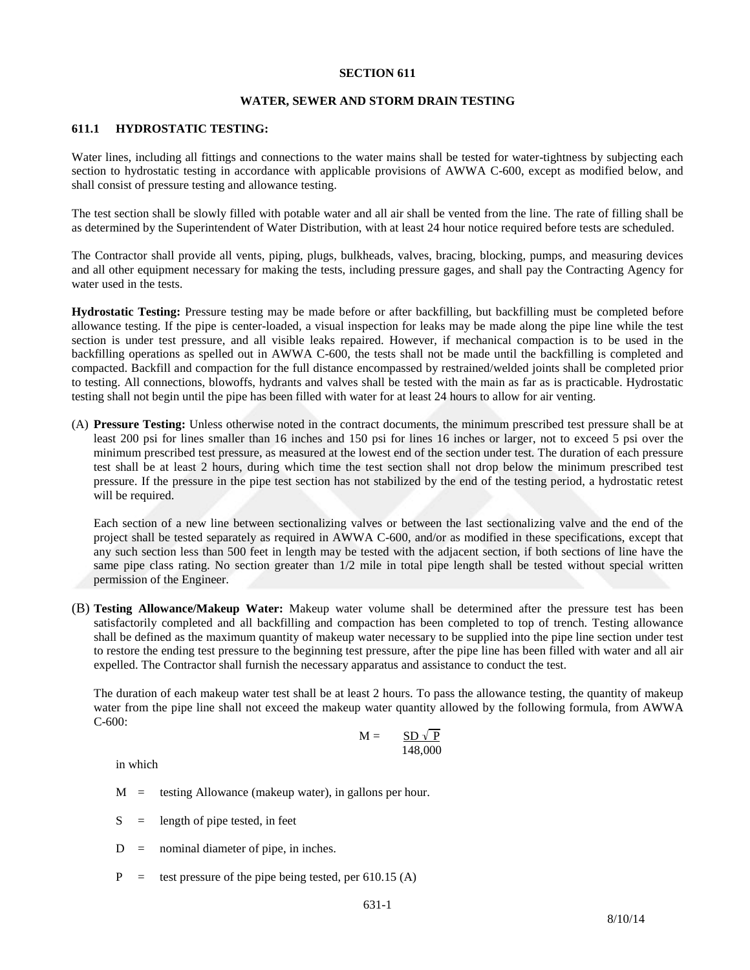### **WATER, SEWER AND STORM DRAIN TESTING**

### **611.1 HYDROSTATIC TESTING:**

Water lines, including all fittings and connections to the water mains shall be tested for water-tightness by subjecting each section to hydrostatic testing in accordance with applicable provisions of AWWA C-600, except as modified below, and shall consist of pressure testing and allowance testing.

The test section shall be slowly filled with potable water and all air shall be vented from the line. The rate of filling shall be as determined by the Superintendent of Water Distribution, with at least 24 hour notice required before tests are scheduled.

The Contractor shall provide all vents, piping, plugs, bulkheads, valves, bracing, blocking, pumps, and measuring devices and all other equipment necessary for making the tests, including pressure gages, and shall pay the Contracting Agency for water used in the tests.

**Hydrostatic Testing:** Pressure testing may be made before or after backfilling, but backfilling must be completed before allowance testing. If the pipe is center-loaded, a visual inspection for leaks may be made along the pipe line while the test section is under test pressure, and all visible leaks repaired. However, if mechanical compaction is to be used in the backfilling operations as spelled out in AWWA C-600, the tests shall not be made until the backfilling is completed and compacted. Backfill and compaction for the full distance encompassed by restrained/welded joints shall be completed prior to testing. All connections, blowoffs, hydrants and valves shall be tested with the main as far as is practicable. Hydrostatic testing shall not begin until the pipe has been filled with water for at least 24 hours to allow for air venting.

(A) **Pressure Testing:** Unless otherwise noted in the contract documents, the minimum prescribed test pressure shall be at least 200 psi for lines smaller than 16 inches and 150 psi for lines 16 inches or larger, not to exceed 5 psi over the minimum prescribed test pressure, as measured at the lowest end of the section under test. The duration of each pressure test shall be at least 2 hours, during which time the test section shall not drop below the minimum prescribed test pressure. If the pressure in the pipe test section has not stabilized by the end of the testing period, a hydrostatic retest will be required.

Each section of a new line between sectionalizing valves or between the last sectionalizing valve and the end of the project shall be tested separately as required in AWWA C-600, and/or as modified in these specifications, except that any such section less than 500 feet in length may be tested with the adjacent section, if both sections of line have the same pipe class rating. No section greater than 1/2 mile in total pipe length shall be tested without special written permission of the Engineer.

(B) **Testing Allowance/Makeup Water:** Makeup water volume shall be determined after the pressure test has been satisfactorily completed and all backfilling and compaction has been completed to top of trench. Testing allowance shall be defined as the maximum quantity of makeup water necessary to be supplied into the pipe line section under test to restore the ending test pressure to the beginning test pressure, after the pipe line has been filled with water and all air expelled. The Contractor shall furnish the necessary apparatus and assistance to conduct the test.

The duration of each makeup water test shall be at least 2 hours. To pass the allowance testing, the quantity of makeup water from the pipe line shall not exceed the makeup water quantity allowed by the following formula, from AWWA C-600:

$$
M = \frac{SD\sqrt{P}}{148,000}
$$

in which

 $M =$  testing Allowance (makeup water), in gallons per hour.

- $S =$  length of pipe tested, in feet
- $D =$  nominal diameter of pipe, in inches.
- $P =$  test pressure of the pipe being tested, per 610.15 (A)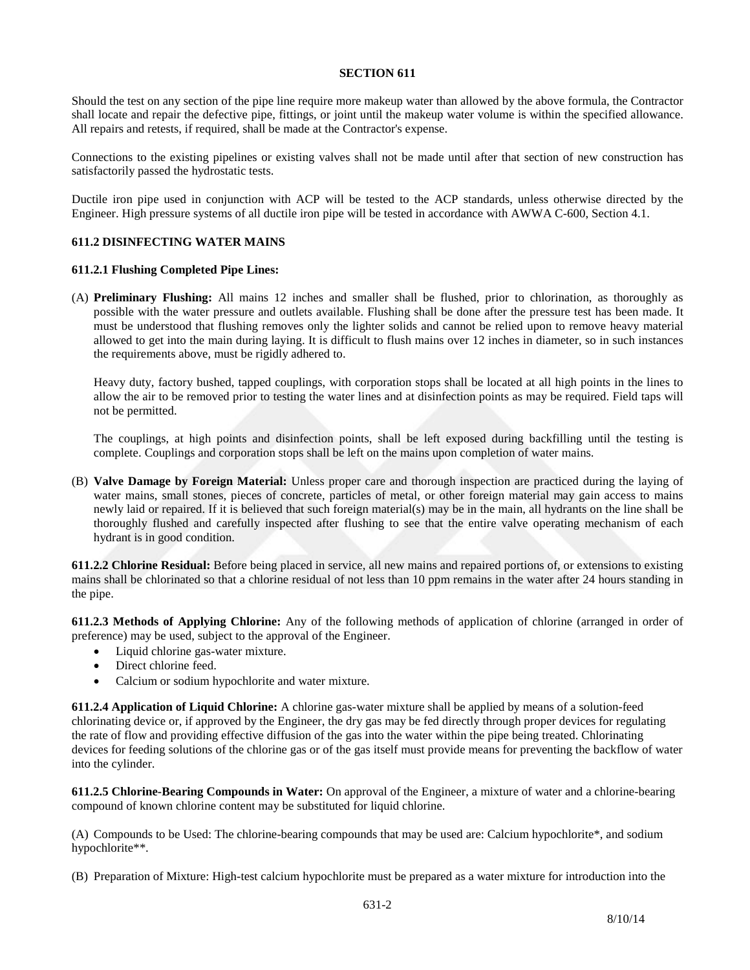Should the test on any section of the pipe line require more makeup water than allowed by the above formula, the Contractor shall locate and repair the defective pipe, fittings, or joint until the makeup water volume is within the specified allowance. All repairs and retests, if required, shall be made at the Contractor's expense.

Connections to the existing pipelines or existing valves shall not be made until after that section of new construction has satisfactorily passed the hydrostatic tests.

Ductile iron pipe used in conjunction with ACP will be tested to the ACP standards, unless otherwise directed by the Engineer. High pressure systems of all ductile iron pipe will be tested in accordance with AWWA C-600, Section 4.1.

## **611.2 DISINFECTING WATER MAINS**

### **611.2.1 Flushing Completed Pipe Lines:**

(A) **Preliminary Flushing:** All mains 12 inches and smaller shall be flushed, prior to chlorination, as thoroughly as possible with the water pressure and outlets available. Flushing shall be done after the pressure test has been made. It must be understood that flushing removes only the lighter solids and cannot be relied upon to remove heavy material allowed to get into the main during laying. It is difficult to flush mains over 12 inches in diameter, so in such instances the requirements above, must be rigidly adhered to.

Heavy duty, factory bushed, tapped couplings, with corporation stops shall be located at all high points in the lines to allow the air to be removed prior to testing the water lines and at disinfection points as may be required. Field taps will not be permitted.

The couplings, at high points and disinfection points, shall be left exposed during backfilling until the testing is complete. Couplings and corporation stops shall be left on the mains upon completion of water mains.

(B) **Valve Damage by Foreign Material:** Unless proper care and thorough inspection are practiced during the laying of water mains, small stones, pieces of concrete, particles of metal, or other foreign material may gain access to mains newly laid or repaired. If it is believed that such foreign material(s) may be in the main, all hydrants on the line shall be thoroughly flushed and carefully inspected after flushing to see that the entire valve operating mechanism of each hydrant is in good condition.

**611.2.2 Chlorine Residual:** Before being placed in service, all new mains and repaired portions of, or extensions to existing mains shall be chlorinated so that a chlorine residual of not less than 10 ppm remains in the water after 24 hours standing in the pipe.

**611.2.3 Methods of Applying Chlorine:** Any of the following methods of application of chlorine (arranged in order of preference) may be used, subject to the approval of the Engineer.

- Liquid chlorine gas-water mixture.
- Direct chlorine feed.
- Calcium or sodium hypochlorite and water mixture.

**611.2.4 Application of Liquid Chlorine:** A chlorine gas-water mixture shall be applied by means of a solution-feed chlorinating device or, if approved by the Engineer, the dry gas may be fed directly through proper devices for regulating the rate of flow and providing effective diffusion of the gas into the water within the pipe being treated. Chlorinating devices for feeding solutions of the chlorine gas or of the gas itself must provide means for preventing the backflow of water into the cylinder.

**611.2.5 Chlorine-Bearing Compounds in Water:** On approval of the Engineer, a mixture of water and a chlorine-bearing compound of known chlorine content may be substituted for liquid chlorine.

(A) Compounds to be Used: The chlorine-bearing compounds that may be used are: Calcium hypochlorite\*, and sodium hypochlorite\*\*.

(B) Preparation of Mixture: High-test calcium hypochlorite must be prepared as a water mixture for introduction into the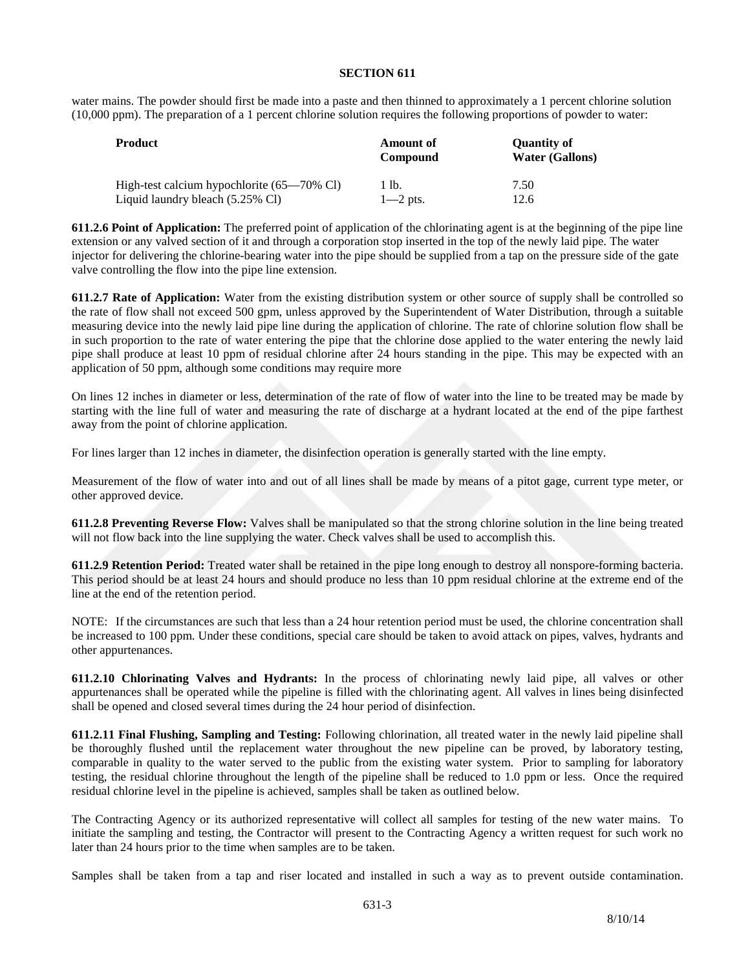water mains. The powder should first be made into a paste and then thinned to approximately a 1 percent chlorine solution (10,000 ppm). The preparation of a 1 percent chlorine solution requires the following proportions of powder to water:

| <b>Product</b>                                        | <b>Amount of</b><br><b>Compound</b> | <b>Ouantity of</b><br><b>Water (Gallons)</b> |
|-------------------------------------------------------|-------------------------------------|----------------------------------------------|
| High-test calcium hypochlorite $(65-70\% \text{ Cl})$ | 1 lb.                               | 7.50                                         |
| Liquid laundry bleach (5.25% Cl)                      | $1-2$ pts.                          | 12.6                                         |

**611.2.6 Point of Application:** The preferred point of application of the chlorinating agent is at the beginning of the pipe line extension or any valved section of it and through a corporation stop inserted in the top of the newly laid pipe. The water injector for delivering the chlorine-bearing water into the pipe should be supplied from a tap on the pressure side of the gate valve controlling the flow into the pipe line extension.

**611.2.7 Rate of Application:** Water from the existing distribution system or other source of supply shall be controlled so the rate of flow shall not exceed 500 gpm, unless approved by the Superintendent of Water Distribution, through a suitable measuring device into the newly laid pipe line during the application of chlorine. The rate of chlorine solution flow shall be in such proportion to the rate of water entering the pipe that the chlorine dose applied to the water entering the newly laid pipe shall produce at least 10 ppm of residual chlorine after 24 hours standing in the pipe. This may be expected with an application of 50 ppm, although some conditions may require more

On lines 12 inches in diameter or less, determination of the rate of flow of water into the line to be treated may be made by starting with the line full of water and measuring the rate of discharge at a hydrant located at the end of the pipe farthest away from the point of chlorine application.

For lines larger than 12 inches in diameter, the disinfection operation is generally started with the line empty.

Measurement of the flow of water into and out of all lines shall be made by means of a pitot gage, current type meter, or other approved device.

**611.2.8 Preventing Reverse Flow:** Valves shall be manipulated so that the strong chlorine solution in the line being treated will not flow back into the line supplying the water. Check valves shall be used to accomplish this.

**611.2.9 Retention Period:** Treated water shall be retained in the pipe long enough to destroy all nonspore-forming bacteria. This period should be at least 24 hours and should produce no less than 10 ppm residual chlorine at the extreme end of the line at the end of the retention period.

NOTE: If the circumstances are such that less than a 24 hour retention period must be used, the chlorine concentration shall be increased to 100 ppm. Under these conditions, special care should be taken to avoid attack on pipes, valves, hydrants and other appurtenances.

**611.2.10 Chlorinating Valves and Hydrants:** In the process of chlorinating newly laid pipe, all valves or other appurtenances shall be operated while the pipeline is filled with the chlorinating agent. All valves in lines being disinfected shall be opened and closed several times during the 24 hour period of disinfection.

**611.2.11 Final Flushing, Sampling and Testing:** Following chlorination, all treated water in the newly laid pipeline shall be thoroughly flushed until the replacement water throughout the new pipeline can be proved, by laboratory testing, comparable in quality to the water served to the public from the existing water system. Prior to sampling for laboratory testing, the residual chlorine throughout the length of the pipeline shall be reduced to 1.0 ppm or less. Once the required residual chlorine level in the pipeline is achieved, samples shall be taken as outlined below.

The Contracting Agency or its authorized representative will collect all samples for testing of the new water mains. To initiate the sampling and testing, the Contractor will present to the Contracting Agency a written request for such work no later than 24 hours prior to the time when samples are to be taken.

Samples shall be taken from a tap and riser located and installed in such a way as to prevent outside contamination.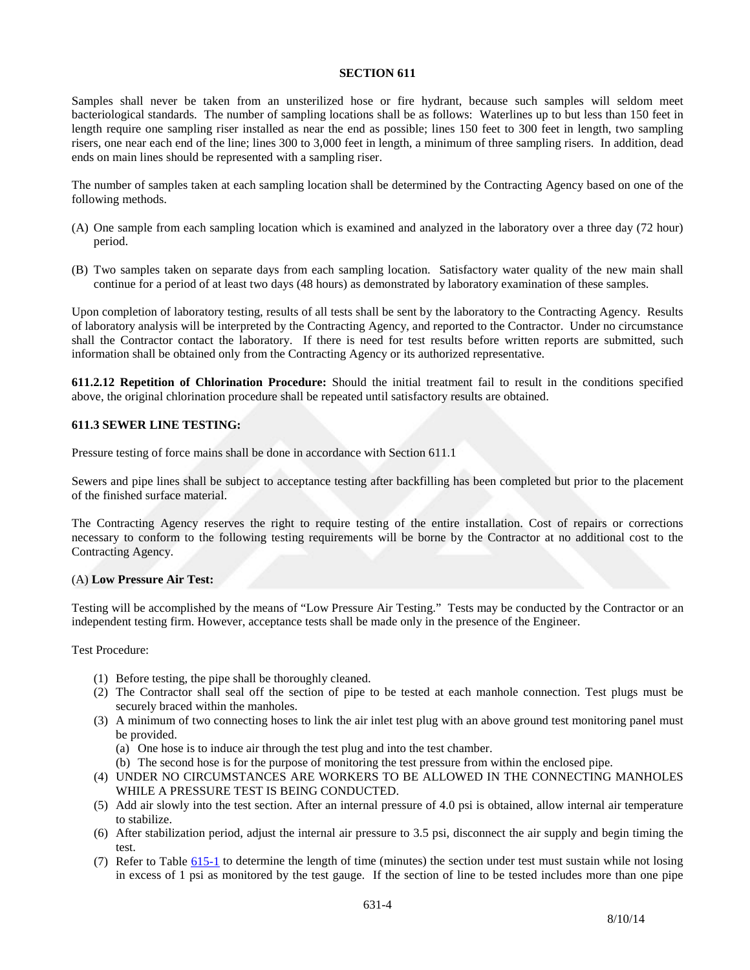Samples shall never be taken from an unsterilized hose or fire hydrant, because such samples will seldom meet bacteriological standards. The number of sampling locations shall be as follows: Waterlines up to but less than 150 feet in length require one sampling riser installed as near the end as possible; lines 150 feet to 300 feet in length, two sampling risers, one near each end of the line; lines 300 to 3,000 feet in length, a minimum of three sampling risers. In addition, dead ends on main lines should be represented with a sampling riser.

The number of samples taken at each sampling location shall be determined by the Contracting Agency based on one of the following methods.

- (A) One sample from each sampling location which is examined and analyzed in the laboratory over a three day (72 hour) period.
- (B) Two samples taken on separate days from each sampling location. Satisfactory water quality of the new main shall continue for a period of at least two days (48 hours) as demonstrated by laboratory examination of these samples.

Upon completion of laboratory testing, results of all tests shall be sent by the laboratory to the Contracting Agency. Results of laboratory analysis will be interpreted by the Contracting Agency, and reported to the Contractor. Under no circumstance shall the Contractor contact the laboratory. If there is need for test results before written reports are submitted, such information shall be obtained only from the Contracting Agency or its authorized representative.

**611.2.12 Repetition of Chlorination Procedure:** Should the initial treatment fail to result in the conditions specified above, the original chlorination procedure shall be repeated until satisfactory results are obtained.

### **611.3 SEWER LINE TESTING:**

Pressure testing of force mains shall be done in accordance with Section 611.1

Sewers and pipe lines shall be subject to acceptance testing after backfilling has been completed but prior to the placement of the finished surface material.

The Contracting Agency reserves the right to require testing of the entire installation. Cost of repairs or corrections necessary to conform to the following testing requirements will be borne by the Contractor at no additional cost to the Contracting Agency.

#### (A) **Low Pressure Air Test:**

Testing will be accomplished by the means of "Low Pressure Air Testing." Tests may be conducted by the Contractor or an independent testing firm. However, acceptance tests shall be made only in the presence of the Engineer.

#### Test Procedure:

- (1) Before testing, the pipe shall be thoroughly cleaned.
- (2) The Contractor shall seal off the section of pipe to be tested at each manhole connection. Test plugs must be securely braced within the manholes.
- (3) A minimum of two connecting hoses to link the air inlet test plug with an above ground test monitoring panel must be provided.
	- (a) One hose is to induce air through the test plug and into the test chamber.
	- (b) The second hose is for the purpose of monitoring the test pressure from within the enclosed pipe.
- (4) UNDER NO CIRCUMSTANCES ARE WORKERS TO BE ALLOWED IN THE CONNECTING MANHOLES WHILE A PRESSURE TEST IS BEING CONDUCTED.
- (5) Add air slowly into the test section. After an internal pressure of 4.0 psi is obtained, allow internal air temperature to stabilize.
- (6) After stabilization period, adjust the internal air pressure to 3.5 psi, disconnect the air supply and begin timing the test.
- (7) Refer to Table  $615-1$  to determine the length of time (minutes) the section under test must sustain while not losing in excess of 1 psi as monitored by the test gauge. If the section of line to be tested includes more than one pipe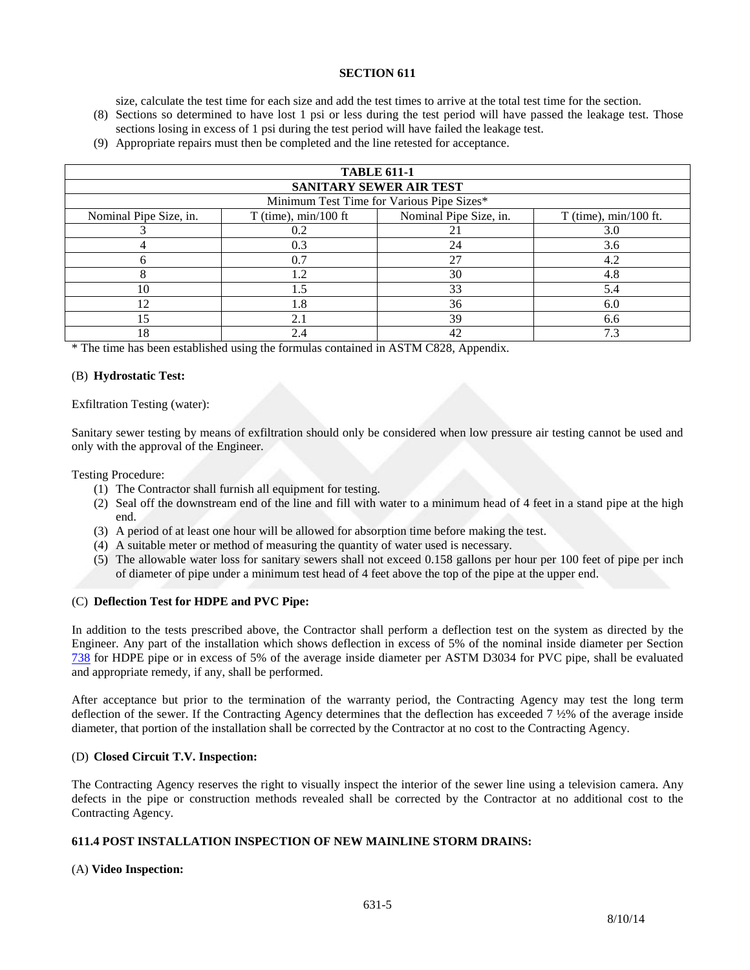size, calculate the test time for each size and add the test times to arrive at the total test time for the section.

- (8) Sections so determined to have lost 1 psi or less during the test period will have passed the leakage test. Those sections losing in excess of 1 psi during the test period will have failed the leakage test.
- (9) Appropriate repairs must then be completed and the line retested for acceptance.

| <b>TABLE 611-1</b>                        |                        |                        |                         |  |  |  |
|-------------------------------------------|------------------------|------------------------|-------------------------|--|--|--|
| SANITARY SEWER AIR TEST                   |                        |                        |                         |  |  |  |
| Minimum Test Time for Various Pipe Sizes* |                        |                        |                         |  |  |  |
| Nominal Pipe Size, in.                    | $T$ (time), min/100 ft | Nominal Pipe Size, in. | $T$ (time), min/100 ft. |  |  |  |
|                                           | 0.2                    | 21                     | 3.0                     |  |  |  |
|                                           | 0.3                    | 24                     | 3.6                     |  |  |  |
|                                           | 0.7                    | 27                     | 4.2                     |  |  |  |
|                                           | 1.2                    | 30                     | 4.8                     |  |  |  |
| 10                                        | 1.5                    | 33                     | 5.4                     |  |  |  |
| 12                                        | 1.8                    | 36                     | 6.0                     |  |  |  |
| 15                                        | 2.1                    | 39                     | 6.6                     |  |  |  |
| 18                                        | 2.4                    | 42                     | 7.3                     |  |  |  |

\* The time has been established using the formulas contained in ASTM C828, Appendix.

### (B) **Hydrostatic Test:**

Exfiltration Testing (water):

Sanitary sewer testing by means of exfiltration should only be considered when low pressure air testing cannot be used and only with the approval of the Engineer.

Testing Procedure:

- (1) The Contractor shall furnish all equipment for testing.
- (2) Seal off the downstream end of the line and fill with water to a minimum head of 4 feet in a stand pipe at the high end.
- (3) A period of at least one hour will be allowed for absorption time before making the test.
- (4) A suitable meter or method of measuring the quantity of water used is necessary.
- (5) The allowable water loss for sanitary sewers shall not exceed 0.158 gallons per hour per 100 feet of pipe per inch of diameter of pipe under a minimum test head of 4 feet above the top of the pipe at the upper end.

#### (C) **Deflection Test for HDPE and PVC Pipe:**

In addition to the tests prescribed above, the Contractor shall perform a deflection test on the system as directed by the Engineer. Any part of the installation which shows deflection in excess of 5% of the nominal inside diameter per Section 738 for HDPE pipe or in excess of 5% of the average inside diameter per ASTM D3034 for PVC pipe, shall be evaluated and appropriate remedy, if any, shall be performed.

After acceptance but prior to the termination of the warranty period, the Contracting Agency may test the long term deflection of the sewer. If the Contracting Agency determines that the deflection has exceeded 7 ½% of the average inside diameter, that portion of the installation shall be corrected by the Contractor at no cost to the Contracting Agency.

## (D) **Closed Circuit T.V. Inspection:**

The Contracting Agency reserves the right to visually inspect the interior of the sewer line using a television camera. Any defects in the pipe or construction methods revealed shall be corrected by the Contractor at no additional cost to the Contracting Agency.

## **611.4 POST INSTALLATION INSPECTION OF NEW MAINLINE STORM DRAINS:**

## (A) **Video Inspection:**